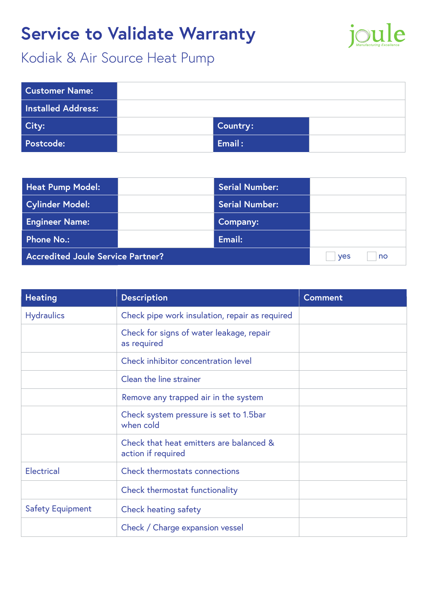# **Service to Validate Warranty**



## Kodiak & Air Source Heat Pump

| <b>Customer Name:</b> |                   |  |
|-----------------------|-------------------|--|
| Installed Address:    |                   |  |
| City:                 | Country:          |  |
| Postcode:             | $\mathsf{Email:}$ |  |

| <b>Heat Pump Model:</b>                  |  | <b>Serial Number:</b> |  |
|------------------------------------------|--|-----------------------|--|
| <b>Cylinder Model:</b>                   |  | <b>Serial Number:</b> |  |
| <b>Engineer Name:</b>                    |  | Company:              |  |
| <b>Phone No.:</b>                        |  | Email:                |  |
| <b>Accredited Joule Service Partner?</b> |  | no<br><b>ves</b>      |  |

| <b>Heating</b>          | <b>Description</b>                                            | <b>Comment</b> |
|-------------------------|---------------------------------------------------------------|----------------|
| <b>Hydraulics</b>       | Check pipe work insulation, repair as required                |                |
|                         | Check for signs of water leakage, repair<br>as required       |                |
|                         | Check inhibitor concentration level                           |                |
|                         | Clean the line strainer                                       |                |
|                         | Remove any trapped air in the system                          |                |
|                         | Check system pressure is set to 1.5bar<br>when cold           |                |
|                         | Check that heat emitters are balanced &<br>action if required |                |
| Electrical              | Check thermostats connections                                 |                |
|                         | Check thermostat functionality                                |                |
| <b>Safety Equipment</b> | <b>Check heating safety</b>                                   |                |
|                         | Check / Charge expansion vessel                               |                |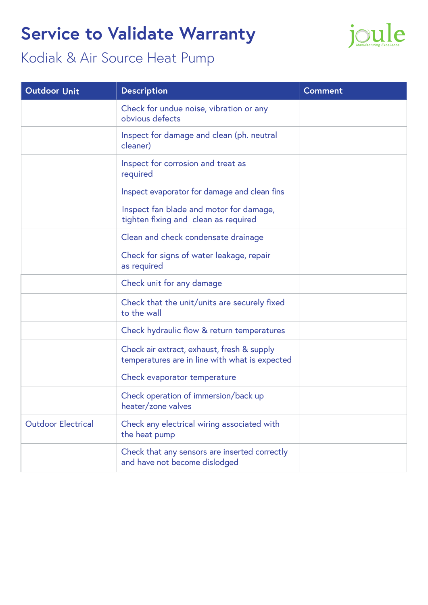# **Service to Validate Warranty**

# joule

## Kodiak & Air Source Heat Pump

| <b>Outdoor Unit</b>       | <b>Description</b>                                                                           | Comment |
|---------------------------|----------------------------------------------------------------------------------------------|---------|
|                           | Check for undue noise, vibration or any<br>obvious defects                                   |         |
|                           | Inspect for damage and clean (ph. neutral<br>cleaner)                                        |         |
|                           | Inspect for corrosion and treat as<br>required                                               |         |
|                           | Inspect evaporator for damage and clean fins                                                 |         |
|                           | Inspect fan blade and motor for damage,<br>tighten fixing and clean as required              |         |
|                           | Clean and check condensate drainage                                                          |         |
|                           | Check for signs of water leakage, repair<br>as required                                      |         |
|                           | Check unit for any damage                                                                    |         |
|                           | Check that the unit/units are securely fixed<br>to the wall                                  |         |
|                           | Check hydraulic flow & return temperatures                                                   |         |
|                           | Check air extract, exhaust, fresh & supply<br>temperatures are in line with what is expected |         |
|                           | Check evaporator temperature                                                                 |         |
|                           | Check operation of immersion/back up<br>heater/zone valves                                   |         |
| <b>Outdoor Electrical</b> | Check any electrical wiring associated with<br>the heat pump                                 |         |
|                           | Check that any sensors are inserted correctly<br>and have not become dislodged               |         |